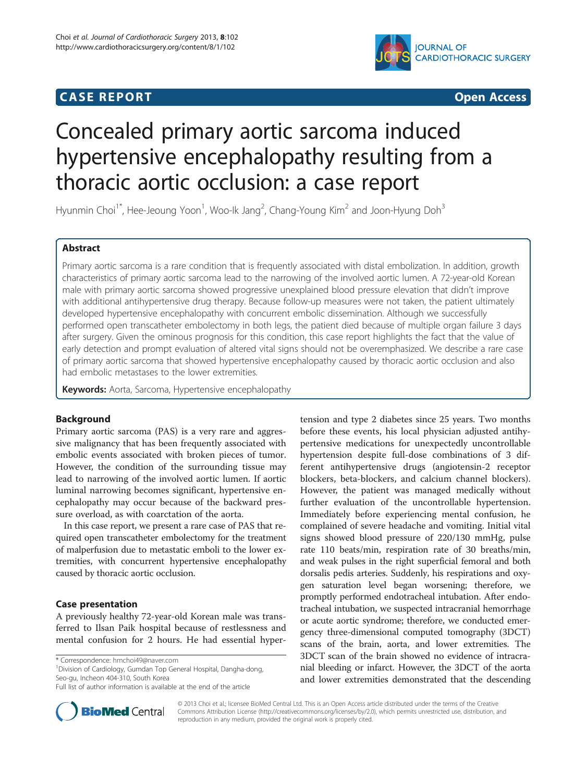## **CASE REPORT CASE REPORT CASE REPORT**



# Concealed primary aortic sarcoma induced hypertensive encephalopathy resulting from a thoracic aortic occlusion: a case report

Hyunmin Choi<sup>1\*</sup>, Hee-Jeoung Yoon<sup>1</sup>, Woo-Ik Jang<sup>2</sup>, Chang-Young Kim<sup>2</sup> and Joon-Hyung Doh<sup>3</sup>

## Abstract

Primary aortic sarcoma is a rare condition that is frequently associated with distal embolization. In addition, growth characteristics of primary aortic sarcoma lead to the narrowing of the involved aortic lumen. A 72-year-old Korean male with primary aortic sarcoma showed progressive unexplained blood pressure elevation that didn't improve with additional antihypertensive drug therapy. Because follow-up measures were not taken, the patient ultimately developed hypertensive encephalopathy with concurrent embolic dissemination. Although we successfully performed open transcatheter embolectomy in both legs, the patient died because of multiple organ failure 3 days after surgery. Given the ominous prognosis for this condition, this case report highlights the fact that the value of early detection and prompt evaluation of altered vital signs should not be overemphasized. We describe a rare case of primary aortic sarcoma that showed hypertensive encephalopathy caused by thoracic aortic occlusion and also had embolic metastases to the lower extremities.

Keywords: Aorta, Sarcoma, Hypertensive encephalopathy

## Background

Primary aortic sarcoma (PAS) is a very rare and aggressive malignancy that has been frequently associated with embolic events associated with broken pieces of tumor. However, the condition of the surrounding tissue may lead to narrowing of the involved aortic lumen. If aortic luminal narrowing becomes significant, hypertensive encephalopathy may occur because of the backward pressure overload, as with coarctation of the aorta.

In this case report, we present a rare case of PAS that required open transcatheter embolectomy for the treatment of malperfusion due to metastatic emboli to the lower extremities, with concurrent hypertensive encephalopathy caused by thoracic aortic occlusion.

## Case presentation

A previously healthy 72-year-old Korean male was transferred to Ilsan Paik hospital because of restlessness and mental confusion for 2 hours. He had essential hyper-

\* Correspondence: [hmchoi49@naver.com](mailto:hmchoi49@naver.com) <sup>1</sup>

<sup>1</sup> Division of Cardiology, Gumdan Top General Hospital, Dangha-dong, Seo-gu, Incheon 404-310, South Korea

Full list of author information is available at the end of the article





© 2013 Choi et al.; licensee BioMed Central Ltd. This is an Open Access article distributed under the terms of the Creative Commons Attribution License [\(http://creativecommons.org/licenses/by/2.0\)](http://creativecommons.org/licenses/by/2.0), which permits unrestricted use, distribution, and reproduction in any medium, provided the original work is properly cited.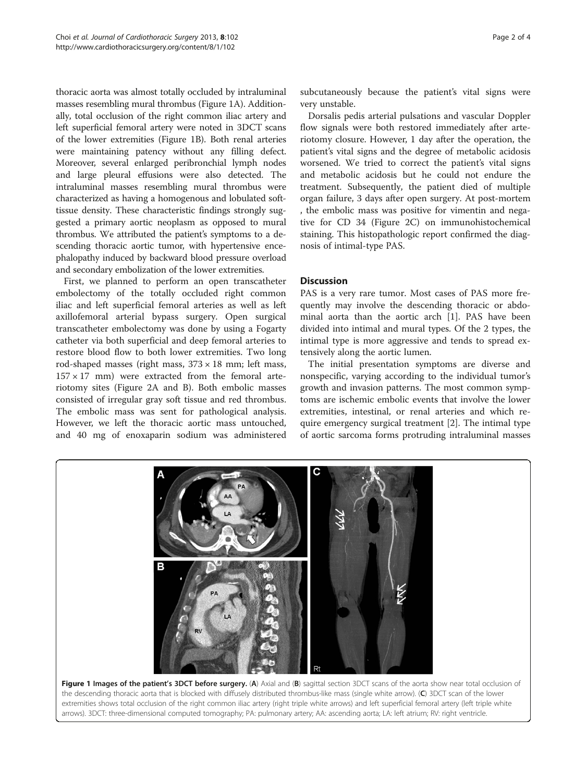thoracic aorta was almost totally occluded by intraluminal masses resembling mural thrombus (Figure 1A). Additionally, total occlusion of the right common iliac artery and left superficial femoral artery were noted in 3DCT scans of the lower extremities (Figure 1B). Both renal arteries were maintaining patency without any filling defect. Moreover, several enlarged peribronchial lymph nodes and large pleural effusions were also detected. The intraluminal masses resembling mural thrombus were characterized as having a homogenous and lobulated softtissue density. These characteristic findings strongly suggested a primary aortic neoplasm as opposed to mural thrombus. We attributed the patient's symptoms to a descending thoracic aortic tumor, with hypertensive encephalopathy induced by backward blood pressure overload and secondary embolization of the lower extremities.

First, we planned to perform an open transcatheter embolectomy of the totally occluded right common iliac and left superficial femoral arteries as well as left axillofemoral arterial bypass surgery. Open surgical transcatheter embolectomy was done by using a Fogarty catheter via both superficial and deep femoral arteries to restore blood flow to both lower extremities. Two long rod-shaped masses (right mass,  $373 \times 18$  mm; left mass,  $157 \times 17$  mm) were extracted from the femoral arteriotomy sites (Figure [2](#page-2-0)A and B). Both embolic masses consisted of irregular gray soft tissue and red thrombus. The embolic mass was sent for pathological analysis. However, we left the thoracic aortic mass untouched, and 40 mg of enoxaparin sodium was administered

subcutaneously because the patient's vital signs were very unstable.

Dorsalis pedis arterial pulsations and vascular Doppler flow signals were both restored immediately after arteriotomy closure. However, 1 day after the operation, the patient's vital signs and the degree of metabolic acidosis worsened. We tried to correct the patient's vital signs and metabolic acidosis but he could not endure the treatment. Subsequently, the patient died of multiple organ failure, 3 days after open surgery. At post-mortem , the embolic mass was positive for vimentin and negative for CD 34 (Figure [2](#page-2-0)C) on immunohistochemical staining. This histopathologic report confirmed the diagnosis of intimal-type PAS.

## **Discussion**

PAS is a very rare tumor. Most cases of PAS more frequently may involve the descending thoracic or abdominal aorta than the aortic arch [\[1\]](#page-3-0). PAS have been divided into intimal and mural types. Of the 2 types, the intimal type is more aggressive and tends to spread extensively along the aortic lumen.

The initial presentation symptoms are diverse and nonspecific, varying according to the individual tumor's growth and invasion patterns. The most common symptoms are ischemic embolic events that involve the lower extremities, intestinal, or renal arteries and which require emergency surgical treatment [[2\]](#page-3-0). The intimal type of aortic sarcoma forms protruding intraluminal masses



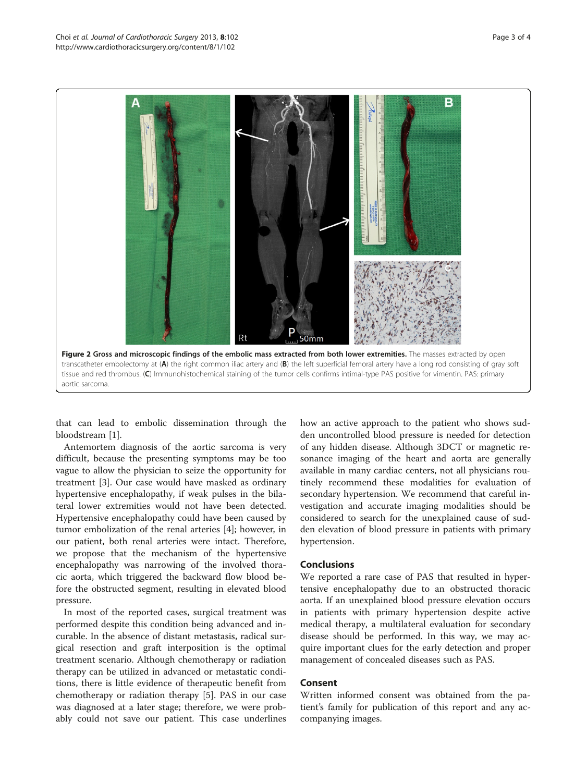<span id="page-2-0"></span>

that can lead to embolic dissemination through the bloodstream [\[1](#page-3-0)].

Antemortem diagnosis of the aortic sarcoma is very difficult, because the presenting symptoms may be too vague to allow the physician to seize the opportunity for treatment [[3](#page-3-0)]. Our case would have masked as ordinary hypertensive encephalopathy, if weak pulses in the bilateral lower extremities would not have been detected. Hypertensive encephalopathy could have been caused by tumor embolization of the renal arteries [[4\]](#page-3-0); however, in our patient, both renal arteries were intact. Therefore, we propose that the mechanism of the hypertensive encephalopathy was narrowing of the involved thoracic aorta, which triggered the backward flow blood before the obstructed segment, resulting in elevated blood pressure.

In most of the reported cases, surgical treatment was performed despite this condition being advanced and incurable. In the absence of distant metastasis, radical surgical resection and graft interposition is the optimal treatment scenario. Although chemotherapy or radiation therapy can be utilized in advanced or metastatic conditions, there is little evidence of therapeutic benefit from chemotherapy or radiation therapy [[5\]](#page-3-0). PAS in our case was diagnosed at a later stage; therefore, we were probably could not save our patient. This case underlines how an active approach to the patient who shows sudden uncontrolled blood pressure is needed for detection of any hidden disease. Although 3DCT or magnetic resonance imaging of the heart and aorta are generally available in many cardiac centers, not all physicians routinely recommend these modalities for evaluation of secondary hypertension. We recommend that careful investigation and accurate imaging modalities should be considered to search for the unexplained cause of sudden elevation of blood pressure in patients with primary hypertension.

## **Conclusions**

We reported a rare case of PAS that resulted in hypertensive encephalopathy due to an obstructed thoracic aorta. If an unexplained blood pressure elevation occurs in patients with primary hypertension despite active medical therapy, a multilateral evaluation for secondary disease should be performed. In this way, we may acquire important clues for the early detection and proper management of concealed diseases such as PAS.

## Consent

Written informed consent was obtained from the patient's family for publication of this report and any accompanying images.